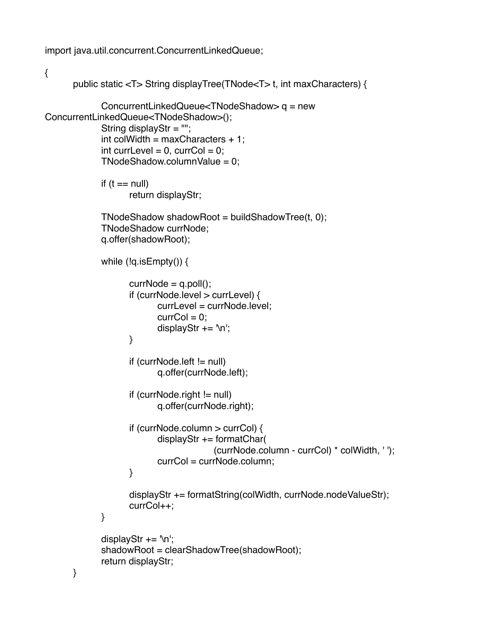import java.util.concurrent.ConcurrentLinkedQueue;

```
\{public static <T> String displayTree(TNode<T> t, int maxCharacters) {
             ConcurrentLinkedQueue<TNodeShadow> q = new
ConcurrentLinkedQueue<TNodeShadow>();
             String displayStr = ''';
             int colWidth = maxCharacter + 1;
             int currLevel = 0, currCol = 0;
             TNodeShadow.columnValue = 0;
             if (t == null)return displayStr;
             TNodeShadow shadowRoot = buildShadowTree(t, 0);
             TNodeShadow currNode:
             q.offer(shadowRoot);
             while (!q.isEmpty()} {
                   currNode = q.poll();if (currNode.level > currLevel) {
                          currLevel = currNode.level;
                          curCol = 0;
                          displayStr += \ln;
                   \}if (currNode.left != null)
                          q.offer(currNode.left);
                   if (currNode.right != null)q.offer(currNode.right);
                   if (currNode.column > currCol) {
                          displayStr += formatChar((currNode.column - currCol) * colWidth, ' ');
                          currCol = currNode.column;
                   \}displayStr += formatString(colWidth, currNode.nodeValueStr);
                   currCol++;
             \}displayStr += \ln;
             shadowRoot = clearShadowTree(shadowRoot);
             return displayStr;
      }
```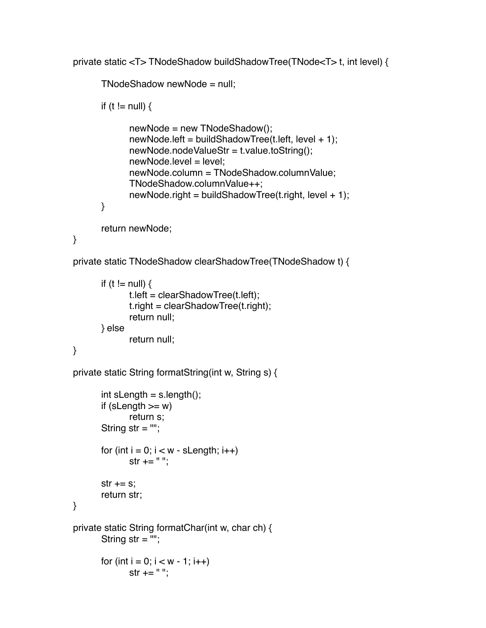private static <T> TNodeShadow buildShadowTree(TNode<T> t, int level) {

```
TNodeShadow newNode = null;
            if (t != null) \{newNode = new ThodeShadow();newNode.left = buildShadowTree(t.left, level + 1);newNode.nodeValueStr = t.value.toString();
                  newNode.level = level;
                  newNode.column = TNodeShadow.columnValue;
                  TNodeShadow.columnValue++;
                  newNode.right = buildShadowTree(t.right, level + 1);. The state \{ \}return newNode;
      }
      private static TNodeShadow clearShadowTree(TNodeShadow t) {
```

```
if (t != null) \{t. left = clearShadowTree(t. left);
       t.right = clearShadowTree(t.right);
       return null;
! ! } else
       return null;
```

```
}
```

```
private static String formatString(int w, String s) {
```

```
int sLength = s.length();
       if (sLength >= w)
              return s;
       String str = ";
       for (int i = 0; i < w - sLength; i++)
              str += " "str += s;return str;
}
private static String formatChar(int w, char ch) {
       String str = ";
       for (int i = 0; i < w - 1; i++)
              str + = " "
```